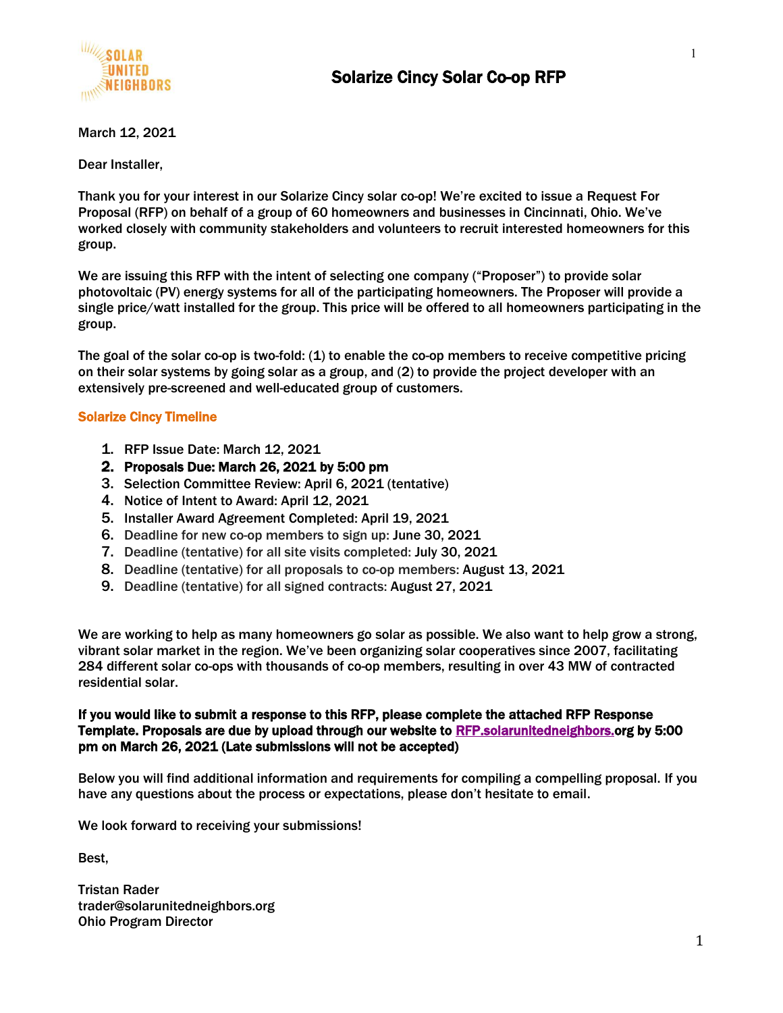

March 12, 2021

Dear Installer,

Thank you for your interest in our Solarize Cincy solar co-op! We're excited to issue a Request For Proposal (RFP) on behalf of a group of 60 homeowners and businesses in Cincinnati, Ohio. We've worked closely with community stakeholders and volunteers to recruit interested homeowners for this group.

We are issuing this RFP with the intent of selecting one company ("Proposer") to provide solar photovoltaic (PV) energy systems for all of the participating homeowners. The Proposer will provide a single price/watt installed for the group. This price will be offered to all homeowners participating in the group.

The goal of the solar co-op is two-fold: (1) to enable the co-op members to receive competitive pricing on their solar systems by going solar as a group, and (2) to provide the project developer with an extensively pre-screened and well-educated group of customers.

#### Solarize Cincy Timeline

- 1. RFP Issue Date: March 12, 2021
- 2. Proposals Due: March 26, 2021 by 5:00 pm
- 3. Selection Committee Review: April 6, 2021 (tentative)
- 4. Notice of Intent to Award: April 12, 2021
- 5. Installer Award Agreement Completed: April 19, 2021
- 6. Deadline for new co-op members to sign up: June 30, 2021
- 7. Deadline (tentative) for all site visits completed: July 30, 2021
- 8. Deadline (tentative) for all proposals to co-op members: August 13, 2021
- 9. Deadline (tentative) for all signed contracts: August 27, 2021

We are working to help as many homeowners go solar as possible. We also want to help grow a strong, vibrant solar market in the region. We've been organizing solar cooperatives since 2007, facilitating 284 different solar co-ops with thousands of co-op members, resulting in over 43 MW of contracted residential solar.

#### If you would like to submit a response to this RFP, please complete the attached RFP Response Template. Proposals are due by upload through our website to [RFP.solarunitedneighbors.o](https://rfp.solarunitedneighbors.org/)rg by 5:00 pm on March 26, 2021 (Late submissions will not be accepted)

Below you will find additional information and requirements for compiling a compelling proposal. If you have any questions about the process or expectations, please don't hesitate to email.

We look forward to receiving your submissions!

Best,

Tristan Rader trader@solarunitedneighbors.org Ohio Program Director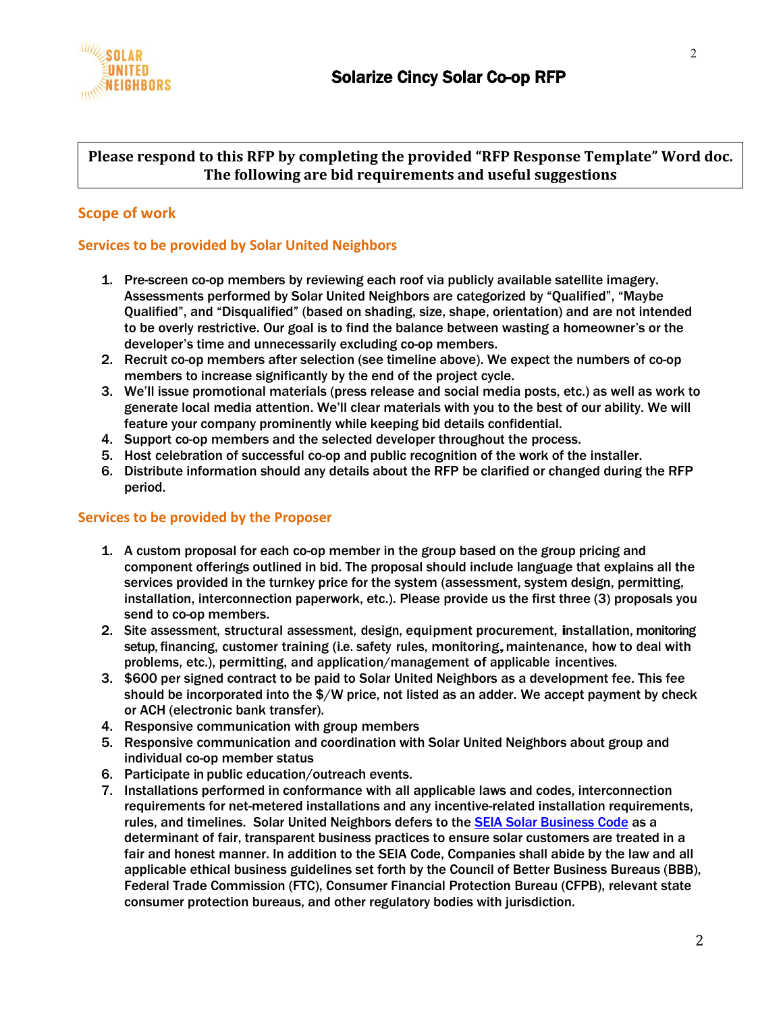

## **Please respond to this RFP by completing the provided "RFP Response Template" Word doc. The following are bid requirements and useful suggestions**

## **Scope of work**

#### **Services to be provided by Solar United Neighbors**

- 1. Pre-screen co-op members by reviewing each roof via publicly available satellite imagery. Assessments performed by Solar United Neighbors are categorized by "Qualified", "Maybe Qualified", and "Disqualified" (based on shading, size, shape, orientation) and are not intended to be overly restrictive. Our goal is to find the balance between wasting a homeowner's or the developer's time and unnecessarily excluding co-op members.
- 2. Recruit co-op members after selection (see timeline above). We expect the numbers of co-op members to increase significantly by the end of the project cycle.
- 3. We'll issue promotional materials (press release and social media posts, etc.) as well as work to generate local media attention. We'll clear materials with you to the best of our ability. We will feature your company prominently while keeping bid details confidential.
- 4. Support co-op members and the selected developer throughout the process.
- 5. Host celebration of successful co-op and public recognition of the work of the installer.
- 6. Distribute information should any details about the RFP be clarified or changed during the RFP period.

#### **Services to be provided by the Proposer**

- 1. A custom proposal for each co-op member in the group based on the group pricing and component offerings outlined in bid. The proposal should include language that explains all the services provided in the turnkey price for the system (assessment, system design, permitting, installation, interconnection paperwork, etc.). Please provide us the first three (3) proposals you send to co-op members.
- 2. Site assessment, structural assessment, design, equipment procurement, installation, monitoring setup, financing, customer training (i.e. safety rules, monitoring,maintenance, how to deal with problems, etc.), permitting, and application/management of applicable incentives.
- 3. \$600 per signed contract to be paid to Solar United Neighbors as a development fee. This fee should be incorporated into the \$/W price, not listed as an adder. We accept payment by check or ACH (electronic bank transfer).
- 4. Responsive communication with group members
- 5. Responsive communication and coordination with Solar United Neighbors about group and individual co-op member status
- 6. Participate in public education/outreach events.
- 7. Installations performed in conformance with all applicable laws and codes, interconnection requirements for net-metered installations and any incentive-related installation requirements, rules, and timelines. Solar United Neighbors defers to the [SEIA Solar Business Code](http://www.seia.org/policy/consumer-protection/seia-solar-business-code) as a determinant of fair, transparent business practices to ensure solar customers are treated in a fair and honest manner. In addition to the SEIA Code, Companies shall abide by the law and all applicable ethical business guidelines set forth by the Council of Better Business Bureaus (BBB), Federal Trade Commission (FTC), Consumer Financial Protection Bureau (CFPB), relevant state consumer protection bureaus, and other regulatory bodies with jurisdiction.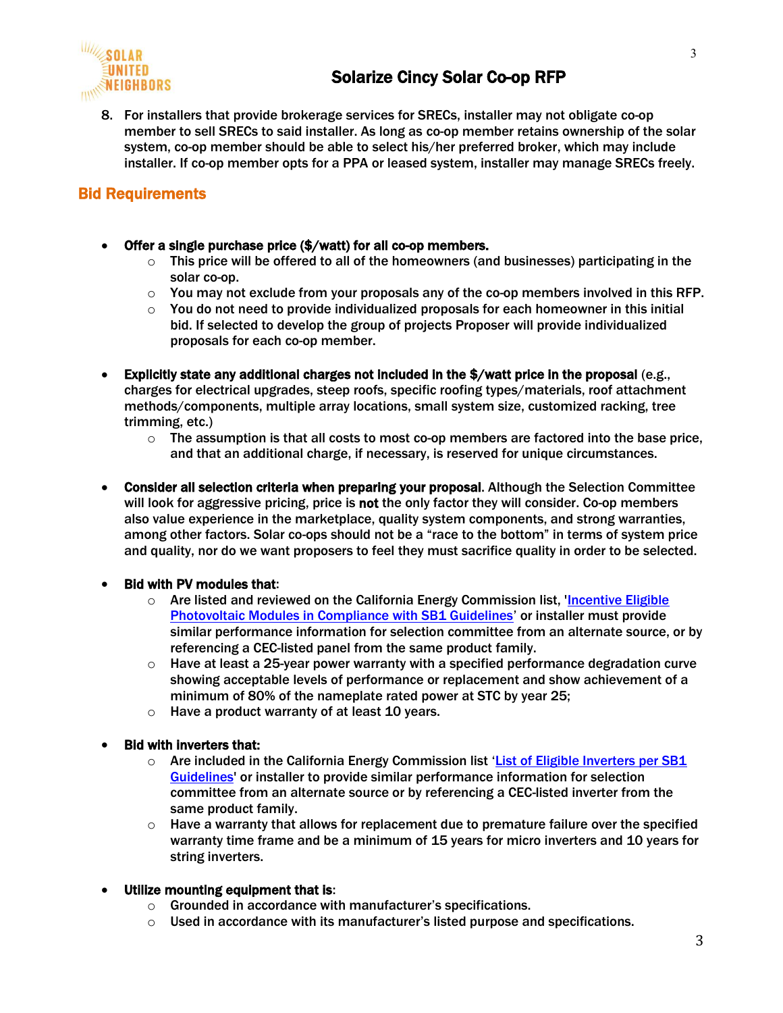

8. For installers that provide brokerage services for SRECs, installer may not obligate co-op member to sell SRECs to said installer. As long as co-op member retains ownership of the solar system, co-op member should be able to select his/her preferred broker, which may include installer. If co-op member opts for a PPA or leased system, installer may manage SRECs freely.

# Bid Requirements

- Offer a single purchase price (\$/watt) for all co-op members.
	- $\circ$  This price will be offered to all of the homeowners (and businesses) participating in the solar co-op.
	- $\circ$  You may not exclude from your proposals any of the co-op members involved in this RFP.
	- $\circ$  You do not need to provide individualized proposals for each homeowner in this initial bid. If selected to develop the group of projects Proposer will provide individualized proposals for each co-op member.
- Explicitly state any additional charges not included in the \$/watt price in the proposal (e.g., charges for electrical upgrades, steep roofs, specific roofing types/materials, roof attachment methods/components, multiple array locations, small system size, customized racking, tree trimming, etc.)
	- $\circ$  The assumption is that all costs to most co-op members are factored into the base price, and that an additional charge, if necessary, is reserved for unique circumstances.
- Consider all selection criteria when preparing your proposal. Although the Selection Committee will look for aggressive pricing, price is not the only factor they will consider. Co-op members also value experience in the marketplace, quality system components, and strong warranties, among other factors. Solar co-ops should not be a "race to the bottom" in terms of system price and quality, nor do we want proposers to feel they must sacrifice quality in order to be selected.

#### • Bid with PV modules that:

- $\circ$  Are listed and reviewed on the California Energy Commission list, 'Incentive Eligible [Photovoltaic Modules in Compliance with SB1 Guidelines](https://www.energy.ca.gov/media/2368)' or installer must provide similar performance information for selection committee from an alternate source, or by referencing a CEC-listed panel from the same product family.
- $\circ$  Have at least a 25-year power warranty with a specified performance degradation curve showing acceptable levels of performance or replacement and show achievement of a minimum of 80% of the nameplate rated power at STC by year 25;
- $\circ$  Have a product warranty of at least 10 years.

#### • Bid with inverters that:

- $\circ$  Are included in the California Energy Commission list 'List of Eligible Inverters per SB1 [Guidelines'](https://www.energy.ca.gov/media/2366) or installer to provide similar performance information for selection committee from an alternate source or by referencing a CEC-listed inverter from the same product family.
- $\circ$  Have a warranty that allows for replacement due to premature failure over the specified warranty time frame and be a minimum of 15 years for micro inverters and 10 years for string inverters.

#### • Utilize mounting equipment that is:

- o Grounded in accordance with manufacturer's specifications.
- $\circ$  Used in accordance with its manufacturer's listed purpose and specifications.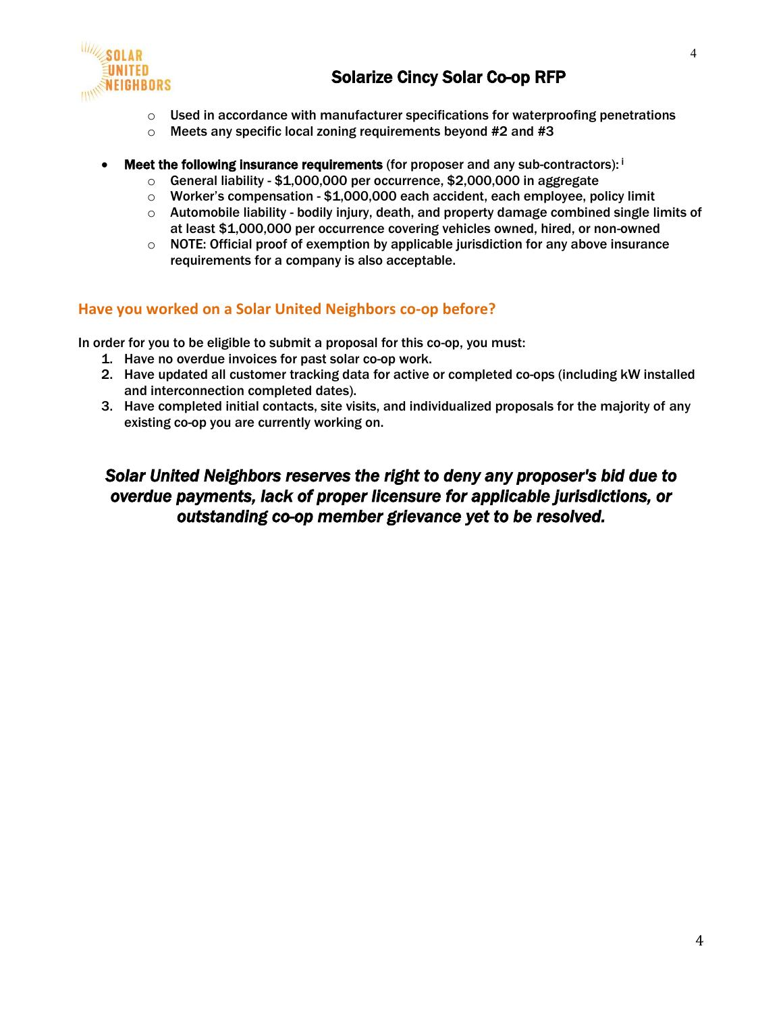

- $\circ$  Used in accordance with manufacturer specifications for waterproofing penetrations
- $\circ$  Meets any specific local zoning requirements beyond #2 and #3
- **Meet the following insurance requirements** (for proposer and any sub-contractors):  $\mathbf{i}$ 
	- $\circ$  General liability \$1,000,000 per occurrence, \$2,000,000 in aggregate
	- $\circ$  Worker's compensation \$1,000,000 each accident, each employee, policy limit
	- $\circ$  Automobile liability bodily injury, death, and property damage combined single limits of at least \$1,000,000 per occurrence covering vehicles owned, hired, or non-owned
	- $\circ$  NOTE: Official proof of exemption by applicable jurisdiction for any above insurance requirements for a company is also acceptable.

## **Have you worked on a Solar United Neighbors co-op before?**

In order for you to be eligible to submit a proposal for this co-op, you must:

- 1. Have no overdue invoices for past solar co-op work.
- 2. Have updated all customer tracking data for active or completed co-ops (including kW installed and interconnection completed dates).
- 3. Have completed initial contacts, site visits, and individualized proposals for the majority of any existing co-op you are currently working on.

# *Solar United Neighbors reserves the right to deny any proposer's bid due to overdue payments, lack of proper licensure for applicable jurisdictions, or outstanding co-op member grievance yet to be resolved.*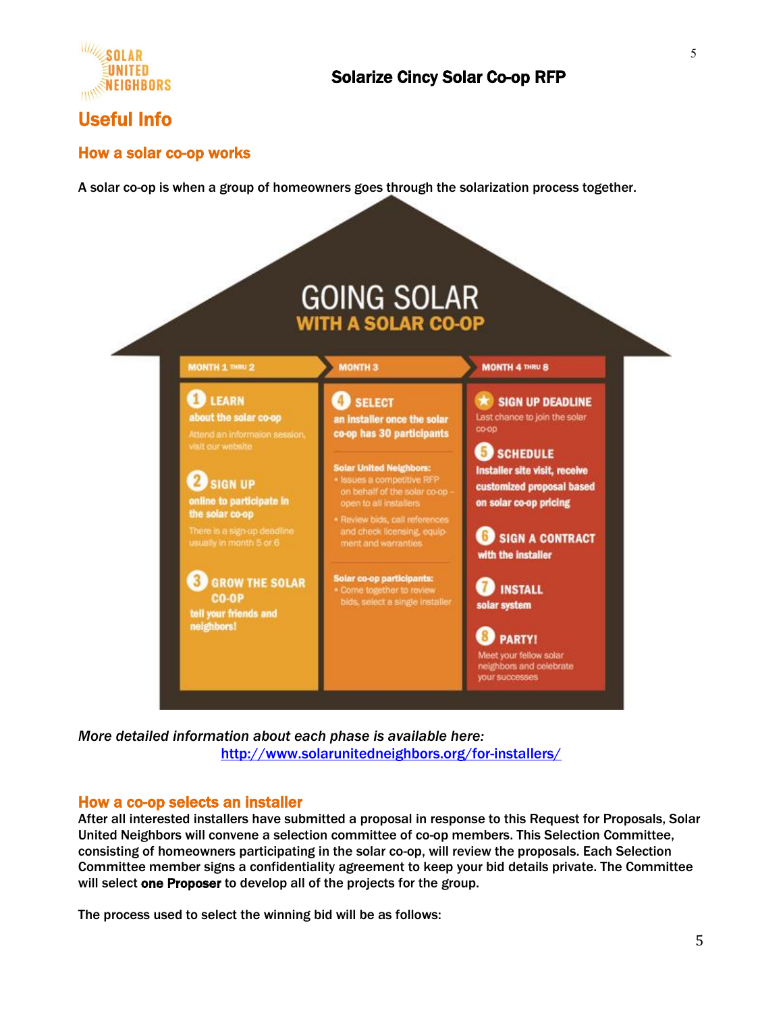

# Useful Info

## How a solar co-op works

A solar co-op is when a group of homeowners goes through the solarization process together.



*More detailed information about each phase is available here:* <http://www.solarunitedneighbors.org/for-installers/>

## How a co-op selects an installer

After all interested installers have submitted a proposal in response to this Request for Proposals, Solar United Neighbors will convene a selection committee of co-op members. This Selection Committee, consisting of homeowners participating in the solar co-op, will review the proposals. Each Selection Committee member signs a confidentiality agreement to keep your bid details private. The Committee will select one Proposer to develop all of the projects for the group.

The process used to select the winning bid will be as follows: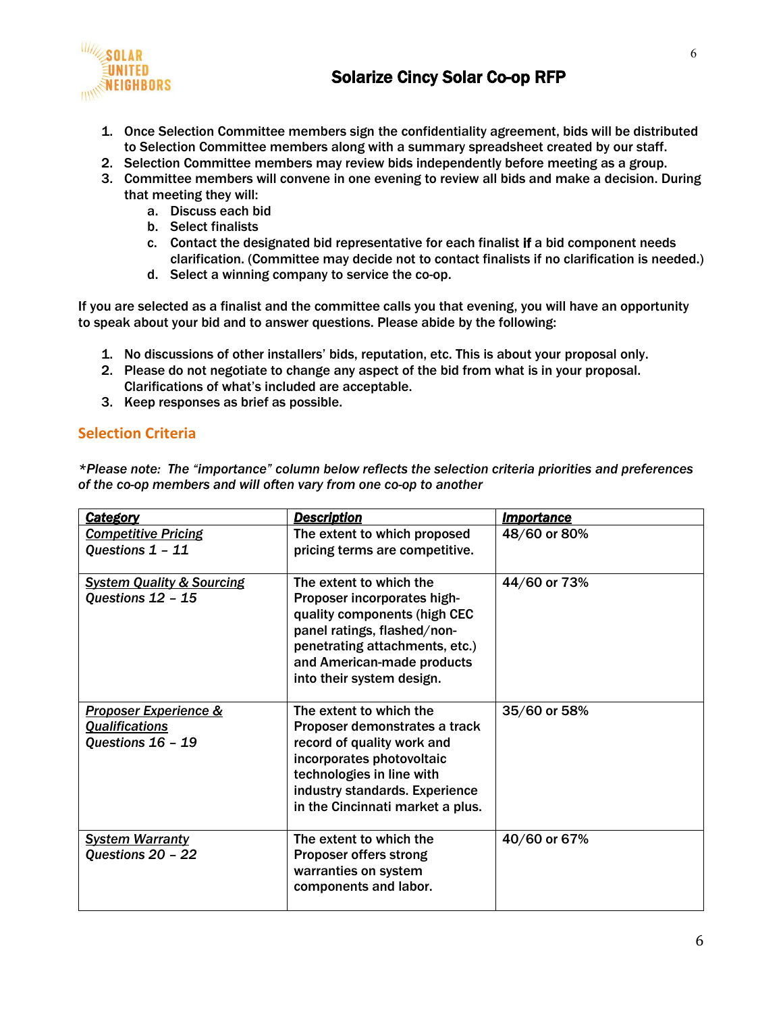

- 1. Once Selection Committee members sign the confidentiality agreement, bids will be distributed to Selection Committee members along with a summary spreadsheet created by our staff.
- 2. Selection Committee members may review bids independently before meeting as a group.
- 3. Committee members will convene in one evening to review all bids and make a decision. During that meeting they will:
	- a. Discuss each bid
	- b. Select finalists
	- c. Contact the designated bid representative for each finalist if a bid component needs clarification. (Committee may decide not to contact finalists if no clarification is needed.)
	- d. Select a winning company to service the co-op.

If you are selected as a finalist and the committee calls you that evening, you will have an opportunity to speak about your bid and to answer questions. Please abide by the following:

- 1. No discussions of other installers' bids, reputation, etc. This is about your proposal only.
- 2. Please do not negotiate to change any aspect of the bid from what is in your proposal. Clarifications of what's included are acceptable.
- 3. Keep responses as brief as possible.

# **Selection Criteria**

*\*Please note: The "importance" column below reflects the selection criteria priorities and preferences of the co-op members and will often vary from one co-op to another*

| <b>Category</b>                                                                | <b>Description</b>                                                                                                                                                                                                     | <b>Importance</b> |
|--------------------------------------------------------------------------------|------------------------------------------------------------------------------------------------------------------------------------------------------------------------------------------------------------------------|-------------------|
| <b>Competitive Pricing</b><br>Questions 1 - 11                                 | The extent to which proposed<br>pricing terms are competitive.                                                                                                                                                         | 48/60 or 80%      |
| <b>System Quality &amp; Sourcing</b><br>Questions 12 - 15                      | The extent to which the<br>Proposer incorporates high-<br>quality components (high CEC<br>panel ratings, flashed/non-<br>penetrating attachments, etc.)<br>and American-made products<br>into their system design.     | 44/60 or 73%      |
| <b>Proposer Experience &amp;</b><br><b>Qualifications</b><br>Questions 16 - 19 | The extent to which the<br>Proposer demonstrates a track<br>record of quality work and<br>incorporates photovoltaic<br>technologies in line with<br>industry standards. Experience<br>in the Cincinnati market a plus. | 35/60 or 58%      |
| <b>System Warranty</b><br>Questions 20 - 22                                    | The extent to which the<br><b>Proposer offers strong</b><br>warranties on system<br>components and labor.                                                                                                              | 40/60 or 67%      |